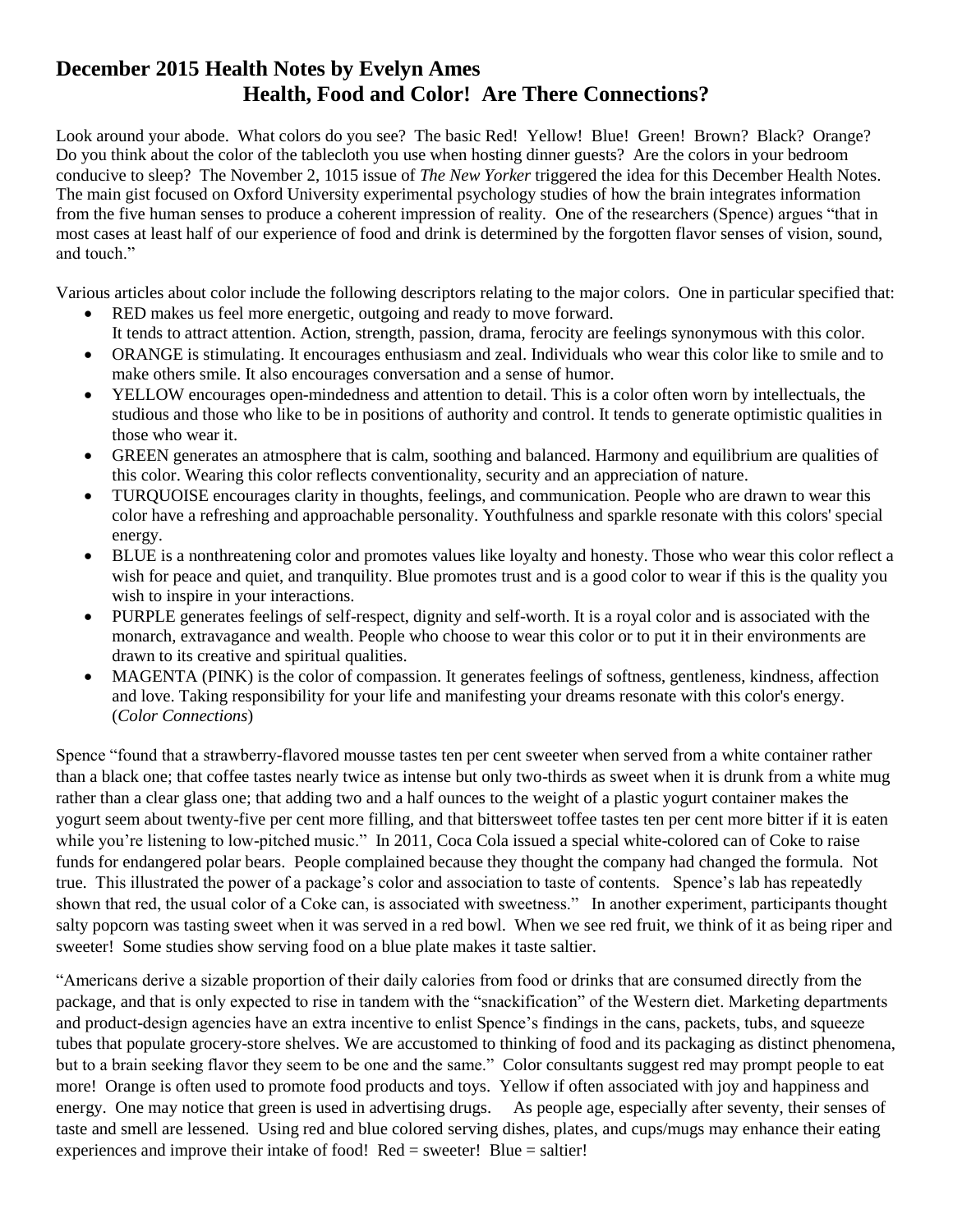## **December 2015 Health Notes by Evelyn Ames Health, Food and Color! Are There Connections?**

Look around your abode. What colors do you see? The basic Red! Yellow! Blue! Green! Brown? Black? Orange? Do you think about the color of the tablecloth you use when hosting dinner guests? Are the colors in your bedroom conducive to sleep? The November 2, 1015 issue of *The New Yorker* triggered the idea for this December Health Notes. The main gist focused on Oxford University experimental psychology studies of how the brain integrates information from the five human senses to produce a coherent impression of reality. One of the researchers (Spence) argues "that in most cases at least half of our experience of food and drink is determined by the forgotten flavor senses of vision, sound, and touch."

Various articles about color include the following descriptors relating to the major colors. One in particular specified that:

- RED makes us feel more energetic, outgoing and ready to move forward. It tends to attract attention. Action, strength, passion, drama, ferocity are feelings synonymous with this color.
- ORANGE is stimulating. It encourages enthusiasm and zeal. Individuals who wear this color like to smile and to make others smile. It also encourages conversation and a sense of humor.
- YELLOW encourages open-mindedness and attention to detail. This is a color often worn by intellectuals, the studious and those who like to be in positions of authority and control. It tends to generate optimistic qualities in those who wear it.
- GREEN generates an atmosphere that is calm, soothing and balanced. Harmony and equilibrium are qualities of this color. Wearing this color reflects conventionality, security and an appreciation of nature.
- TURQUOISE encourages clarity in thoughts, feelings, and communication. People who are drawn to wear this color have a refreshing and approachable personality. Youthfulness and sparkle resonate with this colors' special energy.
- BLUE is a nonthreatening color and promotes values like loyalty and honesty. Those who wear this color reflect a wish for peace and quiet, and tranquility. Blue promotes trust and is a good color to wear if this is the quality you wish to inspire in your interactions.
- PURPLE generates feelings of self-respect, dignity and self-worth. It is a royal color and is associated with the monarch, extravagance and wealth. People who choose to wear this color or to put it in their environments are drawn to its creative and spiritual qualities.
- MAGENTA (PINK) is the color of compassion. It generates feelings of softness, gentleness, kindness, affection and love. Taking responsibility for your life and manifesting your dreams resonate with this color's energy. (*Color Connections*)

Spence "found that a strawberry-flavored mousse tastes ten per cent sweeter when served from a white container rather than a black one; that coffee tastes nearly twice as intense but only two-thirds as sweet when it is drunk from a white mug rather than a clear glass one; that adding two and a half ounces to the weight of a plastic yogurt container makes the yogurt seem about twenty-five per cent more filling, and that bittersweet toffee tastes ten per cent more bitter if it is eaten while you're listening to low-pitched music." In 2011, Coca Cola issued a special white-colored can of Coke to raise funds for endangered polar bears. People complained because they thought the company had changed the formula. Not true. This illustrated the power of a package's color and association to taste of contents. Spence's lab has repeatedly shown that red, the usual color of a Coke can, is associated with sweetness." In another experiment, participants thought salty popcorn was tasting sweet when it was served in a red bowl. When we see red fruit, we think of it as being riper and sweeter! Some studies show serving food on a blue plate makes it taste saltier.

"Americans derive a sizable proportion of their daily calories from food or drinks that are consumed directly from the package, and that is only expected to rise in tandem with the "snackification" of the Western diet. Marketing departments and product-design agencies have an extra incentive to enlist Spence's findings in the cans, packets, tubs, and squeeze tubes that populate grocery-store shelves. We are accustomed to thinking of food and its packaging as distinct phenomena, but to a brain seeking flavor they seem to be one and the same." Color consultants suggest red may prompt people to eat more! Orange is often used to promote food products and toys. Yellow if often associated with joy and happiness and energy. One may notice that green is used in advertising drugs. As people age, especially after seventy, their senses of taste and smell are lessened. Using red and blue colored serving dishes, plates, and cups/mugs may enhance their eating experiences and improve their intake of food! Red = sweeter! Blue = saltier!